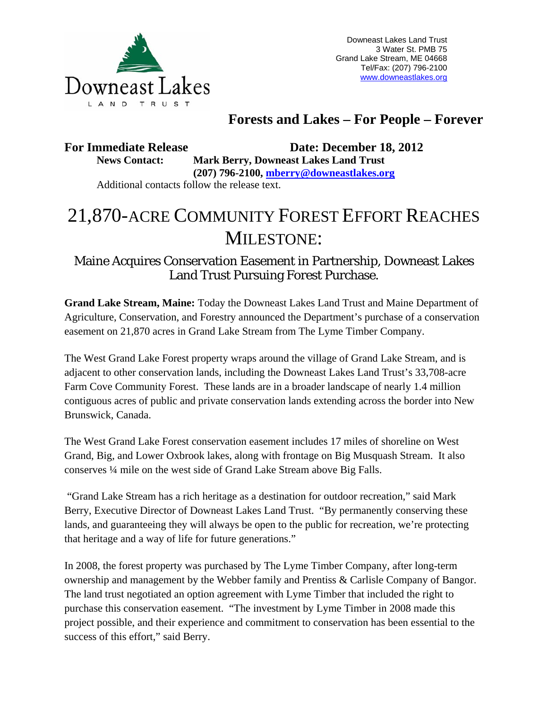

Downeast Lakes Land Trust 3 Water St. PMB 75 Grand Lake Stream, ME 04668 Tel/Fax: (207) 796-2100 www.downeastlakes.org

# **Forests and Lakes – For People – Forever**

**For Immediate Release Date: December 18, 2012 News Contact: Mark Berry, Downeast Lakes Land Trust** 

 **(207) 796-2100, mberry@downeastlakes.org**  Additional contacts follow the release text.

# 21,870-ACRE COMMUNITY FOREST EFFORT REACHES MILESTONE:

Maine Acquires Conservation Easement in Partnership, Downeast Lakes Land Trust Pursuing Forest Purchase.

**Grand Lake Stream, Maine:** Today the Downeast Lakes Land Trust and Maine Department of Agriculture, Conservation, and Forestry announced the Department's purchase of a conservation easement on 21,870 acres in Grand Lake Stream from The Lyme Timber Company.

The West Grand Lake Forest property wraps around the village of Grand Lake Stream, and is adjacent to other conservation lands, including the Downeast Lakes Land Trust's 33,708-acre Farm Cove Community Forest. These lands are in a broader landscape of nearly 1.4 million contiguous acres of public and private conservation lands extending across the border into New Brunswick, Canada.

The West Grand Lake Forest conservation easement includes 17 miles of shoreline on West Grand, Big, and Lower Oxbrook lakes, along with frontage on Big Musquash Stream. It also conserves ¼ mile on the west side of Grand Lake Stream above Big Falls.

 "Grand Lake Stream has a rich heritage as a destination for outdoor recreation," said Mark Berry, Executive Director of Downeast Lakes Land Trust. "By permanently conserving these lands, and guaranteeing they will always be open to the public for recreation, we're protecting that heritage and a way of life for future generations."

In 2008, the forest property was purchased by The Lyme Timber Company, after long-term ownership and management by the Webber family and Prentiss & Carlisle Company of Bangor. The land trust negotiated an option agreement with Lyme Timber that included the right to purchase this conservation easement. "The investment by Lyme Timber in 2008 made this project possible, and their experience and commitment to conservation has been essential to the success of this effort," said Berry.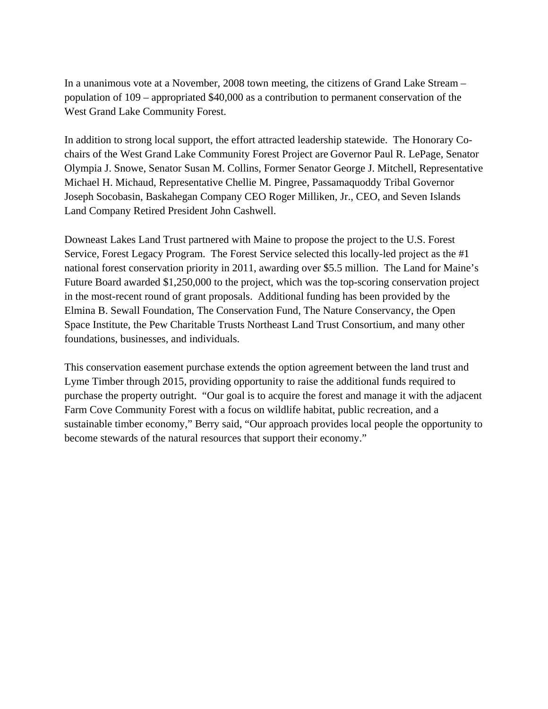In a unanimous vote at a November, 2008 town meeting, the citizens of Grand Lake Stream – population of 109 – appropriated \$40,000 as a contribution to permanent conservation of the West Grand Lake Community Forest.

In addition to strong local support, the effort attracted leadership statewide. The Honorary Cochairs of the West Grand Lake Community Forest Project are Governor Paul R. LePage, Senator Olympia J. Snowe, Senator Susan M. Collins, Former Senator George J. Mitchell, Representative Michael H. Michaud, Representative Chellie M. Pingree, Passamaquoddy Tribal Governor Joseph Socobasin, Baskahegan Company CEO Roger Milliken, Jr., CEO, and Seven Islands Land Company Retired President John Cashwell.

Downeast Lakes Land Trust partnered with Maine to propose the project to the U.S. Forest Service, Forest Legacy Program. The Forest Service selected this locally-led project as the #1 national forest conservation priority in 2011, awarding over \$5.5 million. The Land for Maine's Future Board awarded \$1,250,000 to the project, which was the top-scoring conservation project in the most-recent round of grant proposals. Additional funding has been provided by the Elmina B. Sewall Foundation, The Conservation Fund, The Nature Conservancy, the Open Space Institute, the Pew Charitable Trusts Northeast Land Trust Consortium, and many other foundations, businesses, and individuals.

This conservation easement purchase extends the option agreement between the land trust and Lyme Timber through 2015, providing opportunity to raise the additional funds required to purchase the property outright. "Our goal is to acquire the forest and manage it with the adjacent Farm Cove Community Forest with a focus on wildlife habitat, public recreation, and a sustainable timber economy," Berry said, "Our approach provides local people the opportunity to become stewards of the natural resources that support their economy."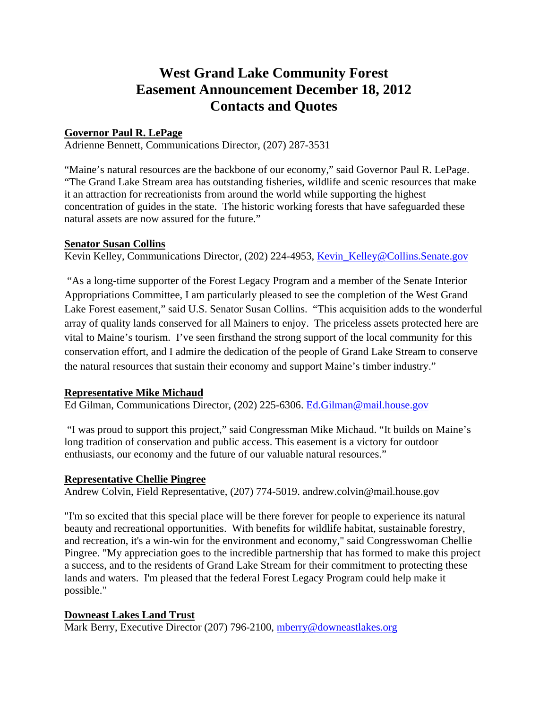# **West Grand Lake Community Forest Easement Announcement December 18, 2012 Contacts and Quotes**

#### **Governor Paul R. LePage**

Adrienne Bennett, Communications Director, (207) 287-3531

"Maine's natural resources are the backbone of our economy," said Governor Paul R. LePage. "The Grand Lake Stream area has outstanding fisheries, wildlife and scenic resources that make it an attraction for recreationists from around the world while supporting the highest concentration of guides in the state. The historic working forests that have safeguarded these natural assets are now assured for the future."

#### **Senator Susan Collins**

Kevin Kelley, Communications Director, (202) 224-4953, Kevin\_Kelley@Collins.Senate.gov

 "As a long-time supporter of the Forest Legacy Program and a member of the Senate Interior Appropriations Committee, I am particularly pleased to see the completion of the West Grand Lake Forest easement," said U.S. Senator Susan Collins. "This acquisition adds to the wonderful array of quality lands conserved for all Mainers to enjoy. The priceless assets protected here are vital to Maine's tourism. I've seen firsthand the strong support of the local community for this conservation effort, and I admire the dedication of the people of Grand Lake Stream to conserve the natural resources that sustain their economy and support Maine's timber industry."

## **Representative Mike Michaud**

Ed Gilman, Communications Director, (202) 225-6306. Ed.Gilman@mail.house.gov

 "I was proud to support this project," said Congressman Mike Michaud. "It builds on Maine's long tradition of conservation and public access. This easement is a victory for outdoor enthusiasts, our economy and the future of our valuable natural resources."

#### **Representative Chellie Pingree**

Andrew Colvin, Field Representative, (207) 774-5019. andrew.colvin@mail.house.gov

"I'm so excited that this special place will be there forever for people to experience its natural beauty and recreational opportunities. With benefits for wildlife habitat, sustainable forestry, and recreation, it's a win-win for the environment and economy," said Congresswoman Chellie Pingree. "My appreciation goes to the incredible partnership that has formed to make this project a success, and to the residents of Grand Lake Stream for their commitment to protecting these lands and waters. I'm pleased that the federal Forest Legacy Program could help make it possible."

## **Downeast Lakes Land Trust**

Mark Berry, Executive Director (207) 796-2100, mberry@downeastlakes.org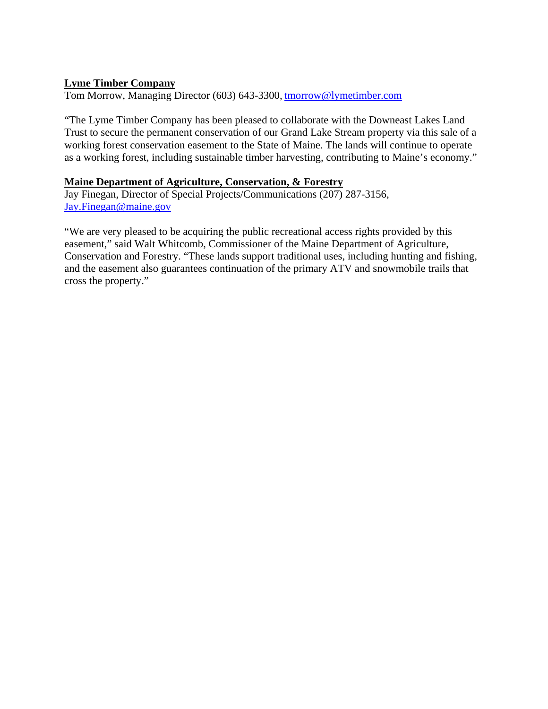## **Lyme Timber Company**

Tom Morrow, Managing Director (603) 643-3300, tmorrow@lymetimber.com

"The Lyme Timber Company has been pleased to collaborate with the Downeast Lakes Land Trust to secure the permanent conservation of our Grand Lake Stream property via this sale of a working forest conservation easement to the State of Maine. The lands will continue to operate as a working forest, including sustainable timber harvesting, contributing to Maine's economy."

#### **Maine Department of Agriculture, Conservation, & Forestry**

Jay Finegan, Director of Special Projects/Communications (207) 287-3156, Jay.Finegan@maine.gov

"We are very pleased to be acquiring the public recreational access rights provided by this easement," said Walt Whitcomb, Commissioner of the Maine Department of Agriculture, Conservation and Forestry. "These lands support traditional uses, including hunting and fishing, and the easement also guarantees continuation of the primary ATV and snowmobile trails that cross the property."